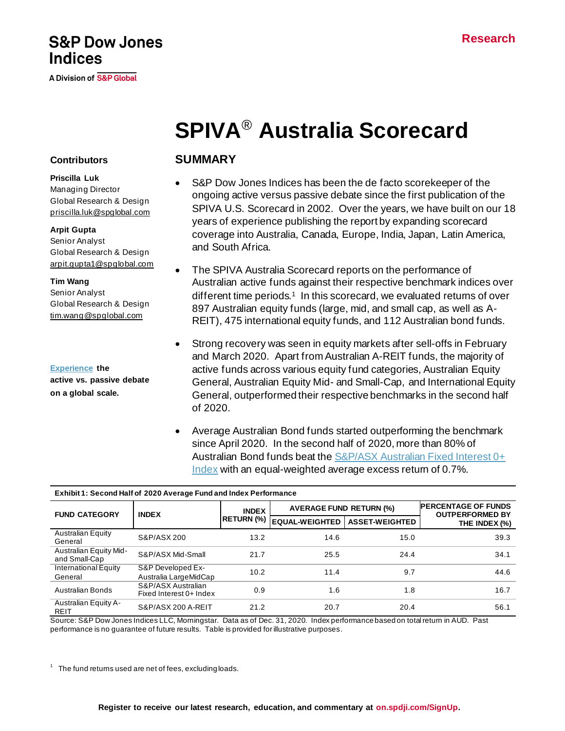## **S&P Dow Jones Indices**

A Division of S&P Global

# **SPIVA**® **Australia Scorecard**

#### **Contributors**

**Priscilla Luk** Managing Director Global Research & Design [priscilla.luk@spglobal.com](mailto:priscilla.luk@spglobal.com)

**Arpit Gupta** Senior Analyst Global Research & Design [arpit.gupta1@spglobal.com](mailto:arpit.gupta1@spglobal.com)

**Tim Wang** Senior Analyst

Global Research & Design [tim.wang@spglobal.com](mailto:tim.wang@spglobal.com)

**[Experience](https://www.spglobal.com/spdji/en/research-insights/spiva/) the active vs. passive debate on a global scale.**

## **SUMMARY**

- S&P Dow Jones Indices has been the de facto scorekeeper of the ongoing active versus passive debate since the first publication of the SPIVA U.S. Scorecard in 2002. Over the years, we have built on our 18 years of experience publishing the report by expanding scorecard coverage into Australia, Canada, Europe, India, Japan, Latin America, and South Africa.
- The SPIVA Australia Scorecard reports on the performance of Australian active funds against their respective benchmark indices over different time periods.<sup>1</sup> In this scorecard, we evaluated returns of over 897 Australian equity funds (large, mid, and small cap, as well as A-REIT), 475 international equity funds, and 112 Australian bond funds.
- Strong recovery was seen in equity markets after sell-offs in February and March 2020. Apart from Australian A-REIT funds, the majority of active funds across various equity fund categories, Australian Equity General, Australian Equity Mid- and Small-Cap, and International Equity General, outperformed their respective benchmarks in the second half of 2020.
- Average Australian Bond funds started outperforming the benchmark since April 2020. In the second half of 2020, more than 80% of Australian Bond funds beat the **S&P/ASX Australian Fixed Interest 0+** [Index](https://www.spglobal.com/spdji/en/indices/fixed-income/sp-asx-australian-fixed-interest-0-index/) with an equal-weighted average excess return of 0.7%.

| Exhibit 1: Second Half of 2020 Average Fund and Index Performance |                                               |                   |                                |                                                      |               |  |  |
|-------------------------------------------------------------------|-----------------------------------------------|-------------------|--------------------------------|------------------------------------------------------|---------------|--|--|
| <b>FUND CATEGORY</b>                                              | <b>INDEX</b>                                  | <b>INDEX</b>      | <b>AVERAGE FUND RETURN (%)</b> | <b>PERCENTAGE OF FUNDS</b><br><b>OUTPERFORMED BY</b> |               |  |  |
|                                                                   |                                               | <b>RETURN (%)</b> | <b>EQUAL-WEIGHTED</b>          | <b>ASSET-WEIGHTED</b>                                | THE INDEX (%) |  |  |
| <b>Australian Equity</b><br>General                               | S&P/ASX 200                                   | 13.2              | 14.6                           | 15.0                                                 | 39.3          |  |  |
| <b>Australian Equity Mid-</b><br>and Small-Cap                    | S&P/ASX Mid-Small                             | 21.7              | 25.5                           | 24.4                                                 | 34.1          |  |  |
| International Equity<br>General                                   | S&P Developed Ex-<br>Australia LargeMidCap    | 10.2              | 11.4                           | 9.7                                                  | 44.6          |  |  |
| <b>Australian Bonds</b>                                           | S&P/ASX Australian<br>Fixed Interest 0+ Index | 0.9               | 1.6                            | 1.8                                                  | 16.7          |  |  |
| Australian Equity A-<br><b>REIT</b>                               | S&P/ASX 200 A-REIT                            | 21.2              | 20.7                           | 20.4                                                 | 56.1          |  |  |

**Exhibit 1: Second Half of 2020 Average Fund and Index Performance**

Source: S&P Dow Jones Indices LLC, Morningstar. Data as of Dec. 31, 2020. Index performance based on total return in AUD. Past performance is no guarantee of future results. Table is provided for illustrative purposes.

 $1$  The fund returns used are net of fees, excluding loads.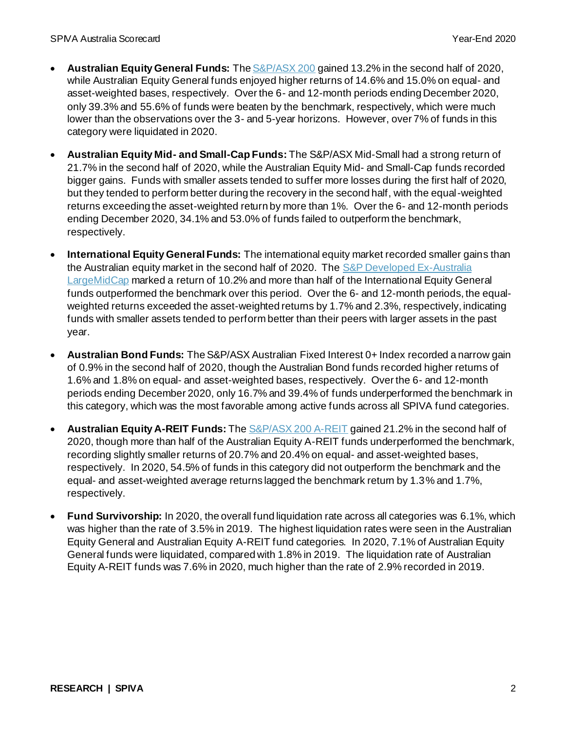- **Australian Equity General Funds:** Th[e S&P/ASX 200](https://www.spglobal.com/spdji/en/indices/equity/sp-asx-200/) gained 13.2% in the second half of 2020, while Australian Equity General funds enjoyed higher returns of 14.6% and 15.0% on equal- and asset-weighted bases, respectively. Over the 6- and 12-month periods ending December 2020, only 39.3% and 55.6% of funds were beaten by the benchmark, respectively, which were much lower than the observations over the 3- and 5-year horizons. However, over 7% of funds in this category were liquidated in 2020.
- **Australian Equity Mid- and Small-Cap Funds:** The S&P/ASX Mid-Small had a strong return of 21.7% in the second half of 2020, while the Australian Equity Mid- and Small-Cap funds recorded bigger gains. Funds with smaller assets tended to suffer more losses during the first half of 2020, but they tended to perform better during the recovery in the second half, with the equal-weighted returns exceeding the asset-weighted return by more than 1%. Over the 6- and 12-month periods ending December 2020, 34.1% and 53.0% of funds failed to outperform the benchmark, respectively.
- **International Equity General Funds:** The international equity market recorded smaller gains than the Australian equity market in the second half of 2020. The S&P Developed Ex-Australia [LargeMidCap](https://www.spglobal.com/spdji/en/indices/equity/sp-developed-ex-australia-largemidcap/) marked a return of 10.2% and more than half of the International Equity General funds outperformed the benchmark over this period. Over the 6- and 12-month periods, the equalweighted returns exceeded the asset-weighted returns by 1.7% and 2.3%, respectively, indicating funds with smaller assets tended to perform better than their peers with larger assets in the past year.
- **Australian Bond Funds:** TheS&P/ASX Australian Fixed Interest 0+ Index recorded a narrow gain of 0.9% in the second half of 2020, though the Australian Bond funds recorded higher returns of 1.6% and 1.8% on equal- and asset-weighted bases, respectively. Over the 6- and 12-month periods ending December 2020, only 16.7% and 39.4% of funds underperformed the benchmark in this category, which was the most favorable among active funds across all SPIVA fund categories.
- **Australian Equity A-REIT Funds:** Th[e S&P/ASX 200 A-REIT](https://www.spglobal.com/spdji/en/indices/equity/sp-asx-200-a-reit) gained 21.2% in the second half of 2020, though more than half of the Australian Equity A-REIT funds underperformed the benchmark, recording slightly smaller returns of 20.7% and 20.4% on equal- and asset-weighted bases, respectively. In 2020, 54.5% of funds in this category did not outperform the benchmark and the equal- and asset-weighted average returns lagged the benchmark return by 1.3% and 1.7%, respectively.
- **Fund Survivorship:** In 2020, the overall fund liquidation rate across all categories was 6.1%, which was higher than the rate of 3.5% in 2019. The highest liquidation rates were seen in the Australian Equity General and Australian Equity A-REIT fund categories. In 2020, 7.1% of Australian Equity General funds were liquidated, compared with 1.8% in 2019. The liquidation rate of Australian Equity A-REIT funds was 7.6% in 2020, much higher than the rate of 2.9% recorded in 2019.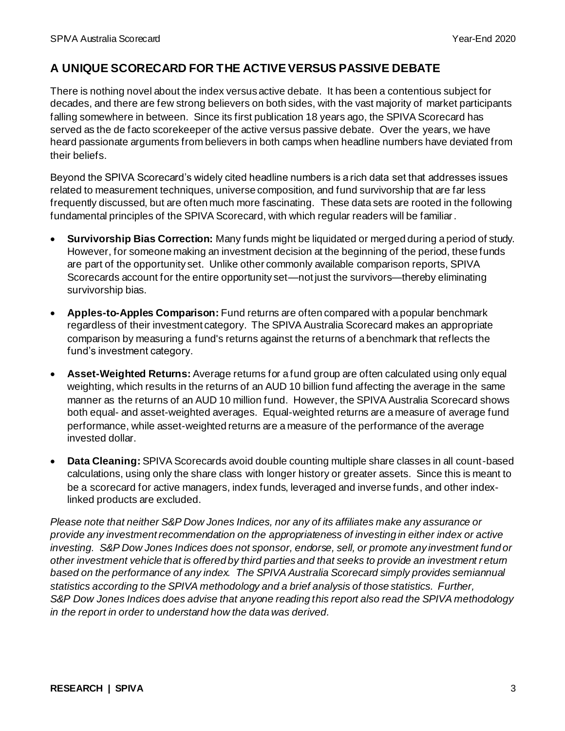## **A UNIQUE SCORECARD FOR THE ACTIVE VERSUS PASSIVE DEBATE**

There is nothing novel about the index versus active debate. It has been a contentious subject for decades, and there are few strong believers on both sides, with the vast majority of market participants falling somewhere in between. Since its first publication 18 years ago, the SPIVA Scorecard has served as the de facto scorekeeper of the active versus passive debate. Over the years, we have heard passionate arguments from believers in both camps when headline numbers have deviated from their beliefs.

Beyond the SPIVA Scorecard's widely cited headline numbers is a rich data set that addresses issues related to measurement techniques, universe composition, and fund survivorship that are far less frequently discussed, but are often much more fascinating. These data sets are rooted in the following fundamental principles of the SPIVA Scorecard, with which regular readers will be familiar.

- **Survivorship Bias Correction:** Many funds might be liquidated or merged during a period of study. However, for someone making an investment decision at the beginning of the period, these funds are part of the opportunity set. Unlike other commonly available comparison reports, SPIVA Scorecards account for the entire opportunity set—not just the survivors—thereby eliminating survivorship bias.
- **Apples-to-Apples Comparison:** Fund returns are often compared with a popular benchmark regardless of their investment category. The SPIVA Australia Scorecard makes an appropriate comparison by measuring a fund's returns against the returns of a benchmark that reflects the fund's investment category.
- **Asset-Weighted Returns:** Average returns for a fund group are often calculated using only equal weighting, which results in the returns of an AUD 10 billion fund affecting the average in the same manner as the returns of an AUD 10 million fund. However, the SPIVA Australia Scorecard shows both equal- and asset-weighted averages. Equal-weighted returns are a measure of average fund performance, while asset-weighted returns are a measure of the performance of the average invested dollar.
- **Data Cleaning:** SPIVA Scorecards avoid double counting multiple share classes in all count-based calculations, using only the share class with longer history or greater assets. Since this is meant to be a scorecard for active managers, index funds, leveraged and inverse funds, and other indexlinked products are excluded.

*Please note that neither S&P Dow Jones Indices, nor any of its affiliates make any assurance or provide any investment recommendation on the appropriateness of investing in either index or active investing. S&P Dow Jones Indices does not sponsor, endorse, sell, or promote any investment fund or other investment vehicle that is offered by third parties and that seeks to provide an investment r eturn based on the performance of any index. The SPIVA Australia Scorecard simply provides semiannual statistics according to the SPIVA methodology and a brief analysis of those statistics. Further, S&P Dow Jones Indices does advise that anyone reading this report also read the SPIVA methodology in the report in order to understand how the data was derived.*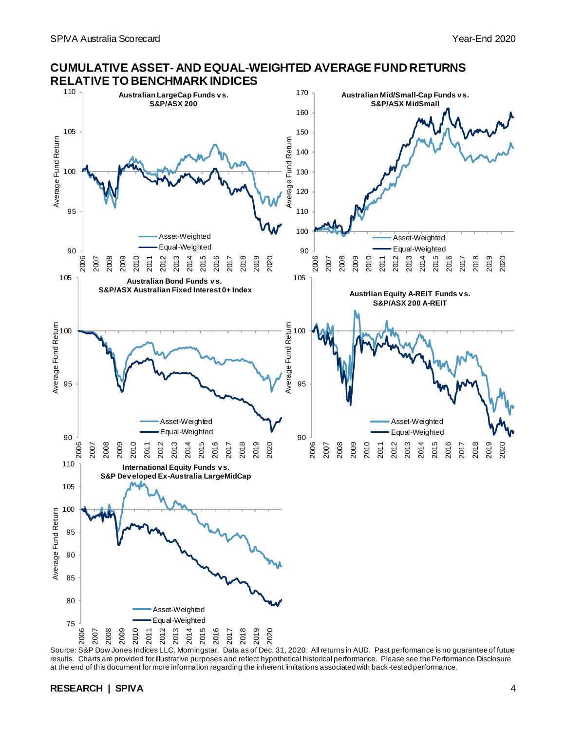

#### **CUMULATIVE ASSET- AND EQUAL-WEIGHTED AVERAGE FUND RETURNS RELATIVE TO BENCHMARK INDICES**

Source: S&P Dow Jones Indices LLC, Morningstar. Data as of Dec. 31, 2020. All returns in AUD. Past performance is no guarantee of future results. Charts are provided for illustrative purposes and reflect hypothetical historical performance. Please see the Performance Disclosure at the end of this document for more information regarding the inherent limitations associated with back-tested performance.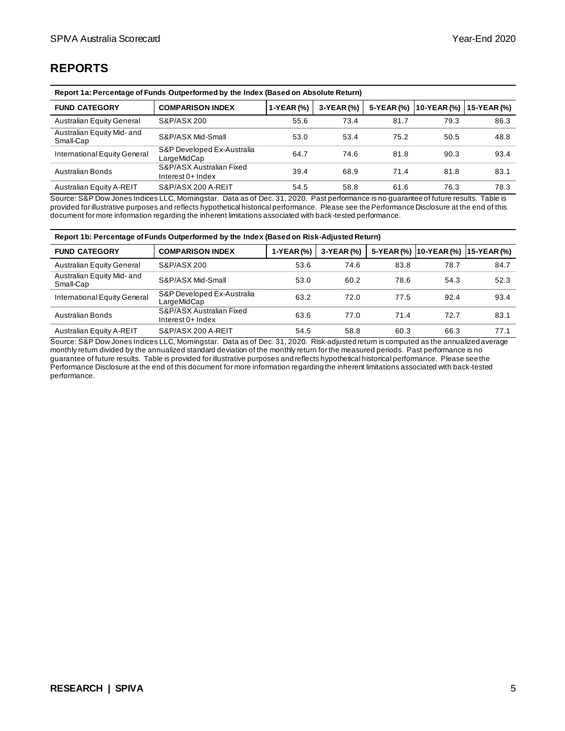## **REPORTS**

| Report 1a: Percentage of Funds Outperformed by the Index (Based on Absolute Return) |                                                 |            |            |            |             |               |
|-------------------------------------------------------------------------------------|-------------------------------------------------|------------|------------|------------|-------------|---------------|
| <b>FUND CATEGORY</b>                                                                | <b>COMPARISON INDEX</b>                         | 1-YEAR (%) | 3-YEAR (%) | 5-YEAR (%) | 10-YEAR (%) | $15-YEAR (%)$ |
| <b>Australian Equity General</b>                                                    | S&P/ASX 200                                     | 55.6       | 73.4       | 81.7       | 79.3        | 86.3          |
| Australian Equity Mid-and<br>Small-Cap                                              | S&P/ASX Mid-Small                               | 53.0       | 53.4       | 75.2       | 50.5        | 48.8          |
| International Equity General                                                        | S&P Developed Ex-Australia<br>LargeMidCap       | 64.7       | 74.6       | 81.8       | 90.3        | 93.4          |
| Australian Bonds                                                                    | S&P/ASX Australian Fixed<br>Interest $0+$ Index | 39.4       | 68.9       | 71.4       | 81.8        | 83.1          |
| Australian Equity A-REIT                                                            | S&P/ASX 200 A-REIT                              | 54.5       | 58.8       | 61.6       | 76.3        | 78.3          |

Source: S&P Dow Jones Indices LLC, Morningstar. Data as of Dec. 31, 2020. Past performance is no guarantee of future results. Table is provided for illustrative purposes and reflects hypothetical historical performance. Please see the Performance Disclosure at the end of this document for more information regarding the inherent limitations associated with back-tested performance.

#### **Report 1b: Percentage of Funds Outperformed by the Index (Based on Risk-Adjusted Return)**

| <b>FUND CATEGORY</b>                    | <b>COMPARISON INDEX</b>                         | 1-YEAR(%) | 3-YEAR (%) |      | 5-YEAR (%)   10-YEAR (%)   15-YEAR (%) |      |
|-----------------------------------------|-------------------------------------------------|-----------|------------|------|----------------------------------------|------|
| <b>Australian Equity General</b>        | S&P/ASX 200                                     | 53.6      | 74.6       | 83.8 | 78.7                                   | 84.7 |
| Australian Equity Mid- and<br>Small-Cap | S&P/ASX Mid-Small                               | 53.0      | 60.2       | 78.6 | 54.3                                   | 52.3 |
| International Equity General            | S&P Developed Ex-Australia<br>LargeMidCap       | 63.2      | 72.0       | 77.5 | 92.4                                   | 93.4 |
| Australian Bonds                        | S&P/ASX Australian Fixed<br>Interest $0+$ Index | 63.6      | 77.0       | 71.4 | 72.7                                   | 83.1 |
| Australian Equity A-REIT                | S&P/ASX 200 A-REIT                              | 54.5      | 58.8       | 60.3 | 66.3                                   | 77.1 |

Source: S&P Dow Jones Indices LLC, Morningstar. Data as of Dec. 31, 2020. Risk-adjusted return is computed as the annualized average monthly return divided by the annualized standard deviation of the monthly return for the measured periods. Past performance is no guarantee of future results. Table is provided for illustrative purposes and reflects hypothetical historical performance. Please see the Performance Disclosure at the end of this document for more information regarding the inherent limitations associated with back-tested performance.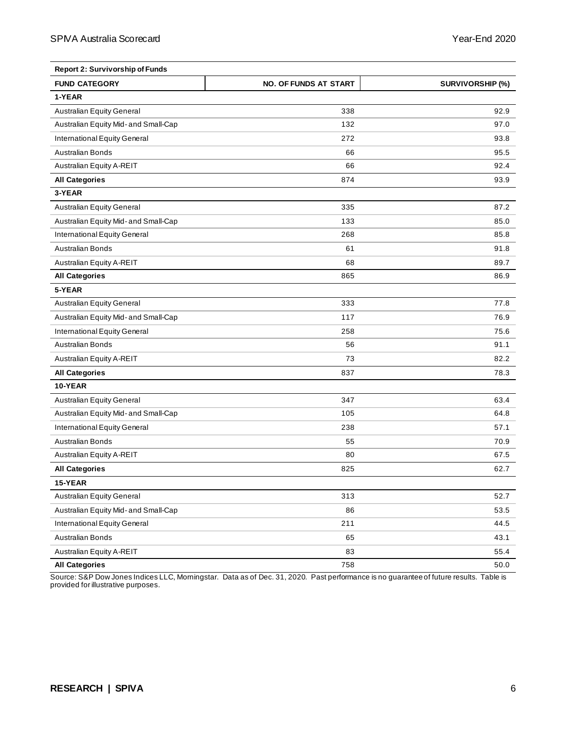| <b>Report 2: Survivorship of Funds</b> |                              |                         |
|----------------------------------------|------------------------------|-------------------------|
| <b>FUND CATEGORY</b>                   | <b>NO. OF FUNDS AT START</b> | <b>SURVIVORSHIP (%)</b> |
| 1-YEAR                                 |                              |                         |
| Australian Equity General              | 338                          | 92.9                    |
| Australian Equity Mid- and Small-Cap   | 132                          | 97.0                    |
| International Equity General           | 272                          | 93.8                    |
| <b>Australian Bonds</b>                | 66                           | 95.5                    |
| Australian Equity A-REIT               | 66                           | 92.4                    |
| <b>All Categories</b>                  | 874                          | 93.9                    |
| 3-YEAR                                 |                              |                         |
| Australian Equity General              | 335                          | 87.2                    |
| Australian Equity Mid- and Small-Cap   | 133                          | 85.0                    |
| International Equity General           | 268                          | 85.8                    |
| <b>Australian Bonds</b>                | 61                           | 91.8                    |
| Australian Equity A-REIT               | 68                           | 89.7                    |
| <b>All Categories</b>                  | 865                          | 86.9                    |
| 5-YEAR                                 |                              |                         |
| <b>Australian Equity General</b>       | 333                          | 77.8                    |
| Australian Equity Mid- and Small-Cap   | 117                          | 76.9                    |
| International Equity General           | 258                          | 75.6                    |
| <b>Australian Bonds</b>                | 56                           | 91.1                    |
| Australian Equity A-REIT               | 73                           | 82.2                    |
| <b>All Categories</b>                  | 837                          | 78.3                    |
| 10-YEAR                                |                              |                         |
| Australian Equity General              | 347                          | 63.4                    |
| Australian Equity Mid- and Small-Cap   | 105                          | 64.8                    |
| International Equity General           | 238                          | 57.1                    |
| <b>Australian Bonds</b>                | 55                           | 70.9                    |
| Australian Equity A-REIT               | 80                           | 67.5                    |
| <b>All Categories</b>                  | 825                          | 62.7                    |
| 15-YEAR                                |                              |                         |
| Australian Equity General              | 313                          | 52.7                    |
| Australian Equity Mid- and Small-Cap   | 86                           | 53.5                    |
| International Equity General           | 211                          | 44.5                    |
| Australian Bonds                       | 65                           | 43.1                    |
| Australian Equity A-REIT               | 83                           | 55.4                    |
| <b>All Categories</b>                  | 758                          | 50.0                    |

Source: S&P Dow Jones Indices LLC, Morningstar. Data as of Dec. 31, 2020. Past performance is no guarantee of future results. Table is provided for illustrative purposes.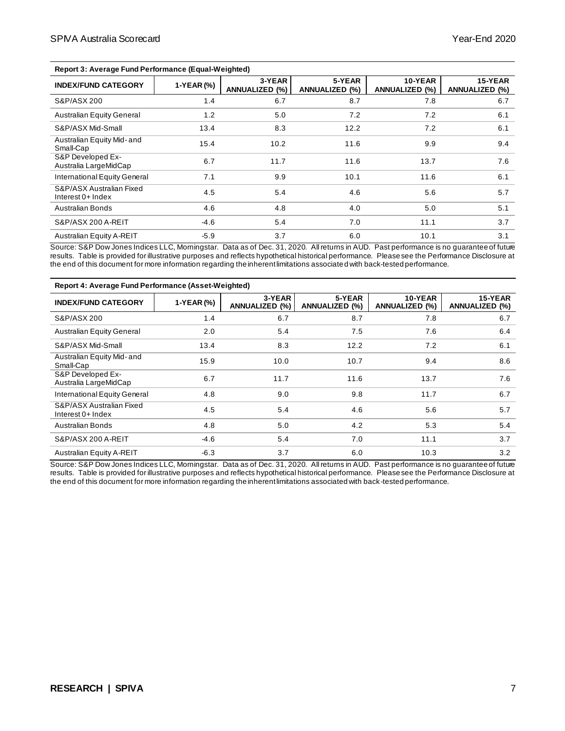| <b>Report 3: Average Fund Performance (Equal-Weighted)</b> |            |                                 |                                 |                                  |                                  |  |
|------------------------------------------------------------|------------|---------------------------------|---------------------------------|----------------------------------|----------------------------------|--|
| <b>INDEX/FUND CATEGORY</b>                                 | 1-YEAR (%) | 3-YEAR<br><b>ANNUALIZED (%)</b> | 5-YEAR<br><b>ANNUALIZED (%)</b> | 10-YEAR<br><b>ANNUALIZED (%)</b> | 15-YEAR<br><b>ANNUALIZED (%)</b> |  |
| S&P/ASX 200                                                | 1.4        | 6.7                             | 8.7                             | 7.8                              | 6.7                              |  |
| <b>Australian Equity General</b>                           | 1.2        | 5.0                             | 7.2                             | 7.2                              | 6.1                              |  |
| S&P/ASX Mid-Small                                          | 13.4       | 8.3                             | 12.2                            | 7.2                              | 6.1                              |  |
| Australian Equity Mid- and<br>Small-Cap                    | 15.4       | 10.2                            | 11.6                            | 9.9                              | 9.4                              |  |
| S&P Developed Ex-<br>Australia LargeMidCap                 | 6.7        | 11.7                            | 11.6                            | 13.7                             | 7.6                              |  |
| International Equity General                               | 7.1        | 9.9                             | 10.1                            | 11.6                             | 6.1                              |  |
| S&P/ASX Australian Fixed<br>Interest $0+$ Index            | 4.5        | 5.4                             | 4.6                             | 5.6                              | 5.7                              |  |
| <b>Australian Bonds</b>                                    | 4.6        | 4.8                             | 4.0                             | 5.0                              | 5.1                              |  |
| S&P/ASX 200 A-REIT                                         | $-4.6$     | 5.4                             | 7.0                             | 11.1                             | 3.7                              |  |
| Australian Equity A-REIT                                   | $-5.9$     | 3.7                             | 6.0                             | 10.1                             | 3.1                              |  |

Source: S&P Dow Jones Indices LLC, Morningstar. Data as of Dec. 31, 2020. All returns in AUD. Past performance is no guarantee of future results. Table is provided for illustrative purposes and reflects hypothetical historical performance. Please see the Performance Disclosure at the end of this document for more information regarding the inherent limitations associate d with back-tested performance.

| Report 4: Average Fund Performance (Asset-Weighted) |            |                          |                          |                                  |                                  |
|-----------------------------------------------------|------------|--------------------------|--------------------------|----------------------------------|----------------------------------|
| <b>INDEX/FUND CATEGORY</b>                          | 1-YEAR (%) | 3-YEAR<br>ANNUALIZED (%) | 5-YEAR<br>ANNUALIZED (%) | 10-YEAR<br><b>ANNUALIZED (%)</b> | 15-YEAR<br><b>ANNUALIZED (%)</b> |
| S&P/ASX 200                                         | 1.4        | 6.7                      | 8.7                      | 7.8                              | 6.7                              |
| <b>Australian Equity General</b>                    | 2.0        | 5.4                      | 7.5                      | 7.6                              | 6.4                              |
| S&P/ASX Mid-Small                                   | 13.4       | 8.3                      | 12.2                     | 7.2                              | 6.1                              |
| Australian Equity Mid- and<br>Small-Cap             | 15.9       | 10.0                     | 10.7                     | 9.4                              | 8.6                              |
| S&P Developed Ex-<br>Australia LargeMidCap          | 6.7        | 11.7                     | 11.6                     | 13.7                             | 7.6                              |
| International Equity General                        | 4.8        | 9.0                      | 9.8                      | 11.7                             | 6.7                              |
| S&P/ASX Australian Fixed<br>Interest $0+$ Index     | 4.5        | 5.4                      | 4.6                      | 5.6                              | 5.7                              |
| <b>Australian Bonds</b>                             | 4.8        | 5.0                      | 4.2                      | 5.3                              | 5.4                              |
| S&P/ASX 200 A-REIT                                  | $-4.6$     | 5.4                      | 7.0                      | 11.1                             | 3.7                              |
| Australian Equity A-REIT                            | $-6.3$     | 3.7                      | 6.0                      | 10.3                             | 3.2                              |

Source: S&P Dow Jones Indices LLC, Morningstar. Data as of Dec. 31, 2020. All returns in AUD. Past performance is no guarantee of future results. Table is provided for illustrative purposes and reflects hypothetical historical performance. Please see the Performance Disclosure at the end of this document for more information regarding the inherent limitations associated with back-tested performance.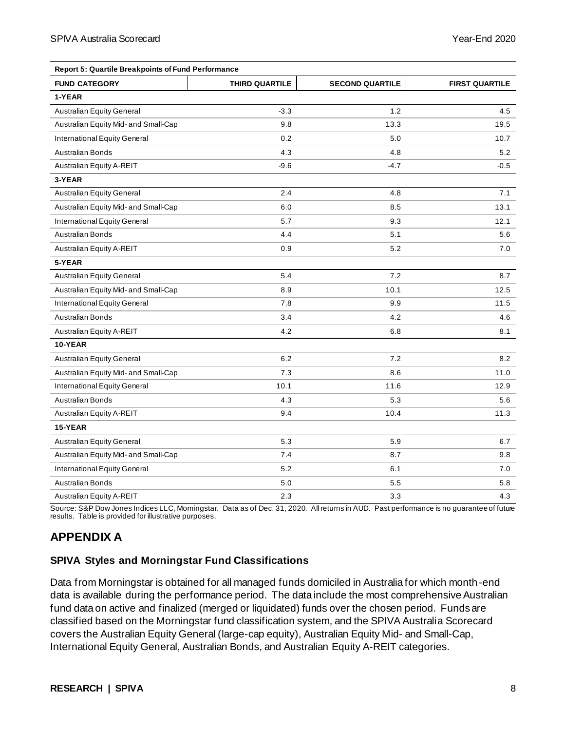|                                      |                       | <b>Report 5: Quartile Breakpoints of Fund Performance</b> |                       |  |  |  |  |
|--------------------------------------|-----------------------|-----------------------------------------------------------|-----------------------|--|--|--|--|
| <b>FUND CATEGORY</b>                 | <b>THIRD QUARTILE</b> | <b>SECOND QUARTILE</b>                                    | <b>FIRST QUARTILE</b> |  |  |  |  |
| 1-YEAR                               |                       |                                                           |                       |  |  |  |  |
| <b>Australian Equity General</b>     | $-3.3$                | 1.2                                                       | 4.5                   |  |  |  |  |
| Australian Equity Mid- and Small-Cap | 9.8                   | 13.3                                                      | 19.5                  |  |  |  |  |
| International Equity General         | 0.2                   | 5.0                                                       | 10.7                  |  |  |  |  |
| <b>Australian Bonds</b>              | 4.3                   | 4.8                                                       | 5.2                   |  |  |  |  |
| Australian Equity A-REIT             | $-9.6$                | $-4.7$                                                    | -0.5                  |  |  |  |  |
| 3-YEAR                               |                       |                                                           |                       |  |  |  |  |
| <b>Australian Equity General</b>     | 2.4                   | 4.8                                                       | 7.1                   |  |  |  |  |
| Australian Equity Mid- and Small-Cap | 6.0                   | 8.5                                                       | 13.1                  |  |  |  |  |
| International Equity General         | 5.7                   | 9.3                                                       | 12.1                  |  |  |  |  |
| <b>Australian Bonds</b>              | 4.4                   | 5.1                                                       | 5.6                   |  |  |  |  |
| Australian Equity A-REIT             | 0.9                   | 5.2                                                       | 7.0                   |  |  |  |  |
| 5-YEAR                               |                       |                                                           |                       |  |  |  |  |
| Australian Equity General            | 5.4                   | 7.2                                                       | 8.7                   |  |  |  |  |
| Australian Equity Mid- and Small-Cap | 8.9                   | 10.1                                                      | 12.5                  |  |  |  |  |
| International Equity General         | 7.8                   | 9.9                                                       | 11.5                  |  |  |  |  |
| <b>Australian Bonds</b>              | 3.4                   | 4.2                                                       | 4.6                   |  |  |  |  |
| Australian Equity A-REIT             | 4.2                   | 6.8                                                       | 8.1                   |  |  |  |  |
| 10-YEAR                              |                       |                                                           |                       |  |  |  |  |
| <b>Australian Equity General</b>     | 6.2                   | 7.2                                                       | 8.2                   |  |  |  |  |
| Australian Equity Mid- and Small-Cap | 7.3                   | 8.6                                                       | 11.0                  |  |  |  |  |
| International Equity General         | 10.1                  | 11.6                                                      | 12.9                  |  |  |  |  |
| <b>Australian Bonds</b>              | 4.3                   | 5.3                                                       | 5.6                   |  |  |  |  |
| Australian Equity A-REIT             | 9.4                   | 10.4                                                      | 11.3                  |  |  |  |  |
| 15-YEAR                              |                       |                                                           |                       |  |  |  |  |
| <b>Australian Equity General</b>     | 5.3                   | 5.9                                                       | 6.7                   |  |  |  |  |
| Australian Equity Mid- and Small-Cap | 7.4                   | 8.7                                                       | 9.8                   |  |  |  |  |
| International Equity General         | 5.2                   | 6.1                                                       | 7.0                   |  |  |  |  |
| <b>Australian Bonds</b>              | 5.0                   | 5.5                                                       | 5.8                   |  |  |  |  |
| Australian Equity A-REIT             | 2.3                   | 3.3                                                       | 4.3                   |  |  |  |  |

Source: S&P Dow Jones Indices LLC, Morningstar. Data as of Dec. 31, 2020. All returns in AUD. Past performance is no guarantee of future results. Table is provided for illustrative purposes.

## **APPENDIX A**

#### **SPIVA Styles and Morningstar Fund Classifications**

Data from Morningstar is obtained for all managed funds domiciled in Australia for which month-end data is available during the performance period. The data include the most comprehensive Australian fund data on active and finalized (merged or liquidated) funds over the chosen period. Funds are classified based on the Morningstar fund classification system, and the SPIVA Australia Scorecard covers the Australian Equity General (large-cap equity), Australian Equity Mid- and Small-Cap, International Equity General, Australian Bonds, and Australian Equity A-REIT categories.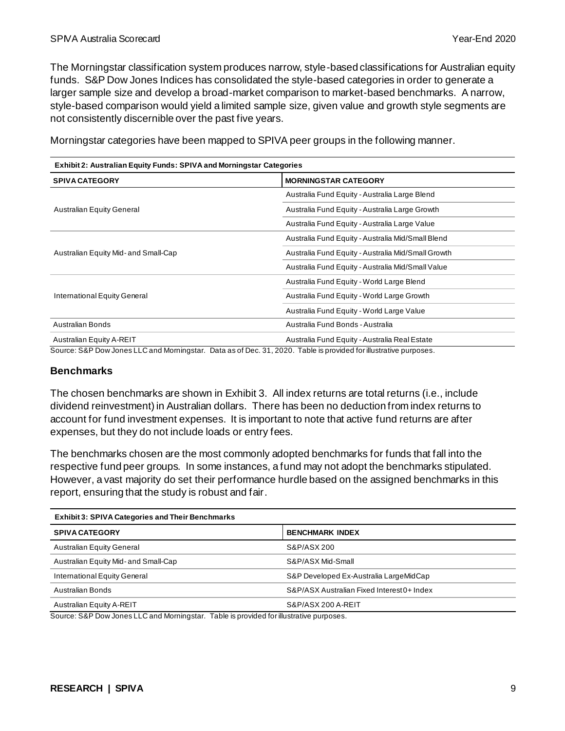The Morningstar classification system produces narrow, style-based classifications for Australian equity funds. S&P Dow Jones Indices has consolidated the style-based categories in order to generate a larger sample size and develop a broad-market comparison to market-based benchmarks. A narrow, style-based comparison would yield a limited sample size, given value and growth style segments are not consistently discernible over the past five years.

| <b>Exhibit 2: Australian Equity Funds: SPIVA and Morningstar Categories</b> |                                                    |  |  |  |
|-----------------------------------------------------------------------------|----------------------------------------------------|--|--|--|
| <b>SPIVA CATEGORY</b>                                                       | <b>MORNINGSTAR CATEGORY</b>                        |  |  |  |
|                                                                             | Australia Fund Equity - Australia Large Blend      |  |  |  |
| <b>Australian Equity General</b>                                            | Australia Fund Equity - Australia Large Growth     |  |  |  |
|                                                                             | Australia Fund Equity - Australia Large Value      |  |  |  |
|                                                                             | Australia Fund Equity - Australia Mid/Small Blend  |  |  |  |
| Australian Equity Mid- and Small-Cap                                        | Australia Fund Equity - Australia Mid/Small Growth |  |  |  |
|                                                                             | Australia Fund Equity - Australia Mid/Small Value  |  |  |  |
|                                                                             | Australia Fund Equity - World Large Blend          |  |  |  |
| International Equity General                                                | Australia Fund Equity - World Large Growth         |  |  |  |
|                                                                             | Australia Fund Equity - World Large Value          |  |  |  |
| Australian Bonds                                                            | Australia Fund Bonds - Australia                   |  |  |  |
| Australian Equity A-REIT                                                    | Australia Fund Equity - Australia Real Estate      |  |  |  |

Morningstar categories have been mapped to SPIVA peer groups in the following manner.

Source: S&P Dow Jones LLC and Morningstar. Data as of Dec. 31, 2020. Table is provided for illustrative purposes.

#### **Benchmarks**

The chosen benchmarks are shown in Exhibit 3. All index returns are total returns (i.e., include dividend reinvestment) in Australian dollars. There has been no deduction from index returns to account for fund investment expenses. It is important to note that active fund returns are after expenses, but they do not include loads or entry fees.

The benchmarks chosen are the most commonly adopted benchmarks for funds that fall into the respective fund peer groups. In some instances, a fund may not adopt the benchmarks stipulated. However, a vast majority do set their performance hurdle based on the assigned benchmarks in this report, ensuring that the study is robust and fair.

| <b>Exhibit 3: SPIVA Categories and Their Benchmarks</b> |  |  |  |  |
|---------------------------------------------------------|--|--|--|--|
| <b>BENCHMARK INDEX</b>                                  |  |  |  |  |
| S&P/ASX 200                                             |  |  |  |  |
| S&P/ASX Mid-Small                                       |  |  |  |  |
| S&P Developed Ex-Australia LargeMidCap                  |  |  |  |  |
| S&P/ASX Australian Fixed Interest 0+ Index              |  |  |  |  |
| S&P/ASX 200 A-REIT                                      |  |  |  |  |
|                                                         |  |  |  |  |

Source: S&P Dow Jones LLC and Morningstar. Table is provided for illustrative purposes.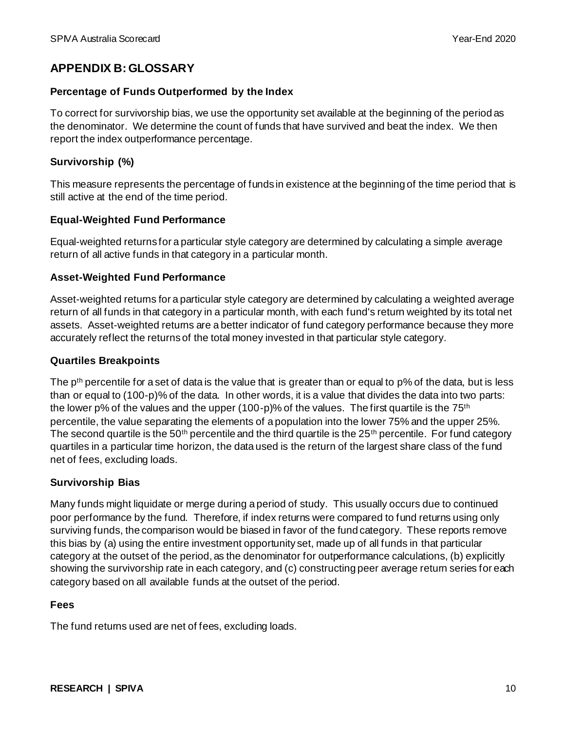## **APPENDIX B: GLOSSARY**

#### **Percentage of Funds Outperformed by the Index**

To correct for survivorship bias, we use the opportunity set available at the beginning of the period as the denominator. We determine the count of funds that have survived and beat the index. We then report the index outperformance percentage.

#### **Survivorship (%)**

This measure represents the percentage of funds in existence at the beginning of the time period that is still active at the end of the time period.

#### **Equal-Weighted Fund Performance**

Equal-weighted returns for a particular style category are determined by calculating a simple average return of all active funds in that category in a particular month.

#### **Asset-Weighted Fund Performance**

Asset-weighted returns for a particular style category are determined by calculating a weighted average return of all funds in that category in a particular month, with each fund's return weighted by its total net assets. Asset-weighted returns are a better indicator of fund category performance because they more accurately reflect the returns of the total money invested in that particular style category.

#### **Quartiles Breakpoints**

The p<sup>th</sup> percentile for a set of data is the value that is greater than or equal to p% of the data, but is less than or equal to (100-p)% of the data. In other words, it is a value that divides the data into two parts: the lower p% of the values and the upper (100-p)% of the values. The first quartile is the 75<sup>th</sup> percentile, the value separating the elements of a population into the lower 75% and the upper 25%. The second quartile is the 50<sup>th</sup> percentile and the third quartile is the 25<sup>th</sup> percentile. For fund category quartiles in a particular time horizon, the data used is the return of the largest share class of the fund net of fees, excluding loads.

#### **Survivorship Bias**

Many funds might liquidate or merge during a period of study. This usually occurs due to continued poor performance by the fund. Therefore, if index returns were compared to fund returns using only surviving funds, the comparison would be biased in favor of the fund category. These reports remove this bias by (a) using the entire investment opportunity set, made up of all funds in that particular category at the outset of the period, as the denominator for outperformance calculations, (b) explicitly showing the survivorship rate in each category, and (c) constructing peer average return series for each category based on all available funds at the outset of the period.

#### **Fees**

The fund returns used are net of fees, excluding loads.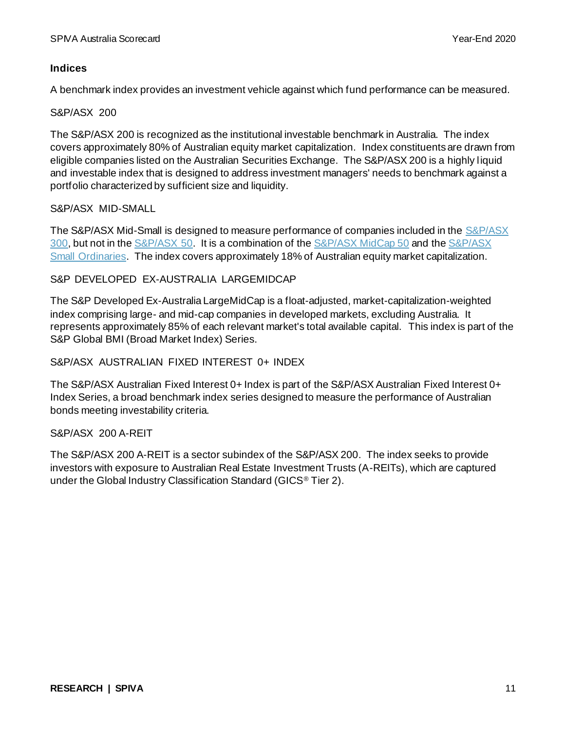#### **Indices**

A benchmark index provides an investment vehicle against which fund performance can be measured.

#### S&P/ASX 200

The S&P/ASX 200 is recognized as the institutional investable benchmark in Australia. The index covers approximately 80% of Australian equity market capitalization. Index constituents are drawn from eligible companies listed on the Australian Securities Exchange. The S&P/ASX 200 is a highly liquid and investable index that is designed to address investment managers' needs to benchmark against a portfolio characterized by sufficient size and liquidity.

### S&P/ASX MID-SMALL

The S&P/ASX Mid-Small is designed to measure performance of companies included in th[e S&P/ASX](https://www.spglobal.com/spdji/en/indices/equity/sp-asx-300/)  [300,](https://www.spglobal.com/spdji/en/indices/equity/sp-asx-300/) but not in the [S&P/ASX 50.](https://www.spglobal.com/spdji/en/indices/equity/sp-asx-50/) It is a combination of th[e S&P/ASX MidCap 50](https://www.spglobal.com/spdji/en/indices/equity/sp-asx-midcap-50/) and th[e S&P/ASX](https://www.spglobal.com/spdji/en/indices/equity/sp-asx-small-ordinaries/)  [Small Ordinaries.](https://www.spglobal.com/spdji/en/indices/equity/sp-asx-small-ordinaries/) The index covers approximately 18% of Australian equity market capitalization.

### S&P DEVELOPED EX-AUSTRALIA LARGEMIDCAP

The S&P Developed Ex-Australia LargeMidCap is a float-adjusted, market-capitalization-weighted index comprising large- and mid-cap companies in developed markets, excluding Australia. It represents approximately 85% of each relevant market's total available capital. This index is part of the S&P Global BMI (Broad Market Index) Series.

#### S&P/ASX AUSTRALIAN FIXED INTEREST 0+ INDEX

The S&P/ASX Australian Fixed Interest 0+ Index is part of the S&P/ASX Australian Fixed Interest 0+ Index Series, a broad benchmark index series designed to measure the performance of Australian bonds meeting investability criteria.

#### S&P/ASX 200 A-REIT

The S&P/ASX 200 A-REIT is a sector subindex of the S&P/ASX 200. The index seeks to provide investors with exposure to Australian Real Estate Investment Trusts (A-REITs), which are captured under the Global Industry Classification Standard (GICS® Tier 2).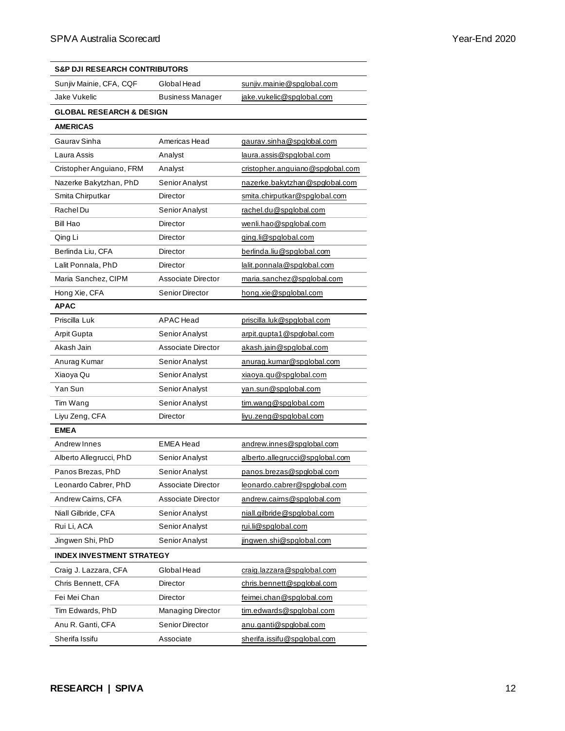| <b>S&amp;P DJI RESEARCH CONTRIBUTORS</b> |                         |                                  |
|------------------------------------------|-------------------------|----------------------------------|
| Sunjiv Mainie, CFA, CQF                  | Global Head             | sunjiv.mainie@spglobal.com       |
| Jake Vukelic                             | <b>Business Manager</b> | jake.vukelic@spglobal.com        |
| <b>GLOBAL RESEARCH &amp; DESIGN</b>      |                         |                                  |
| <b>AMERICAS</b>                          |                         |                                  |
| Gaurav Sinha                             | Americas Head           | gaurav.sinha@spglobal.com        |
| Laura Assis                              | Analyst                 | laura.assis@spglobal.com         |
| Cristopher Anguiano, FRM                 | Analyst                 | cristopher.anguiano@spglobal.com |
| Nazerke Bakytzhan, PhD                   | Senior Analyst          | nazerke.bakytzhan@spglobal.com   |
| Smita Chirputkar                         | Director                | smita.chirputkar@spglobal.com    |
| Rachel Du                                | Senior Analyst          | rachel.du@spglobal.com           |
| Bill Hao                                 | Director                | wenli.hao@spglobal.com           |
| Qing Li                                  | Director                | qing.li@spglobal.com             |
| Berlinda Liu, CFA                        | Director                | berlinda.liu@spglobal.com        |
| Lalit Ponnala, PhD                       | Director                | lalit.ponnala@spglobal.com       |
| Maria Sanchez, CIPM                      | Associate Director      | maria.sanchez@spqlobal.com       |
| Hong Xie, CFA                            | Senior Director         | hong.xie@spglobal.com            |
| <b>APAC</b>                              |                         |                                  |
| Priscilla Luk                            | APAC Head               | priscilla.luk@spglobal.com       |
| <b>Arpit Gupta</b>                       | Senior Analyst          | arpit.qupta1@spqlobal.com        |
| Akash Jain                               | Associate Director      | akash.jain@spglobal.com          |
| Anurag Kumar                             | Senior Analyst          | anurag.kumar@spglobal.com        |
| Xiaoya Qu                                | Senior Analyst          | xiaoya.qu@spglobal.com           |
| Yan Sun                                  | Senior Analyst          | yan.sun@spglobal.com             |
| Tim Wang                                 | Senior Analyst          | tim.wang@spglobal.com            |
| Liyu Zeng, CFA                           | Director                | livu.zeng@spglobal.com           |
| <b>EMEA</b>                              |                         |                                  |
| Andrew Innes                             | <b>EMEA Head</b>        | andrew.innes@spglobal.com        |
| Alberto Allegrucci, PhD                  | Senior Analyst          | alberto.allegrucci@spglobal.com  |
| Panos Brezas, PhD                        | Senior Analyst          | panos.brezas@spglobal.com        |
| Leonardo Cabrer, PhD                     | Associate Director      | leonardo.cabrer@spglobal.com     |
| Andrew Cairns, CFA                       | Associate Director      | andrew.cairns@spglobal.com       |
| Niall Gilbride, CFA                      | Senior Analyst          | niall.gilbride@spglobal.com      |
| Rui Li, ACA                              | Senior Analyst          | rui.li@spglobal.com              |
| Jingwen Shi, PhD                         | Senior Analyst          | jingwen.shi@spglobal.com         |
| <b>INDEX INVESTMENT STRATEGY</b>         |                         |                                  |
| Craig J. Lazzara, CFA                    | Global Head             | craig.lazzara@spglobal.com       |
| Chris Bennett, CFA                       | Director                | chris.bennett@spglobal.com       |
| Fei Mei Chan                             | Director                | feimei.chan@spglobal.com         |
| Tim Edwards, PhD                         | Managing Director       | tim.edwards@spglobal.com         |
| Anu R. Ganti, CFA                        | Senior Director         | anu.ganti@spglobal.com           |
| Sherifa Issifu                           | Associate               | sherifa.issifu@spqlobal.com      |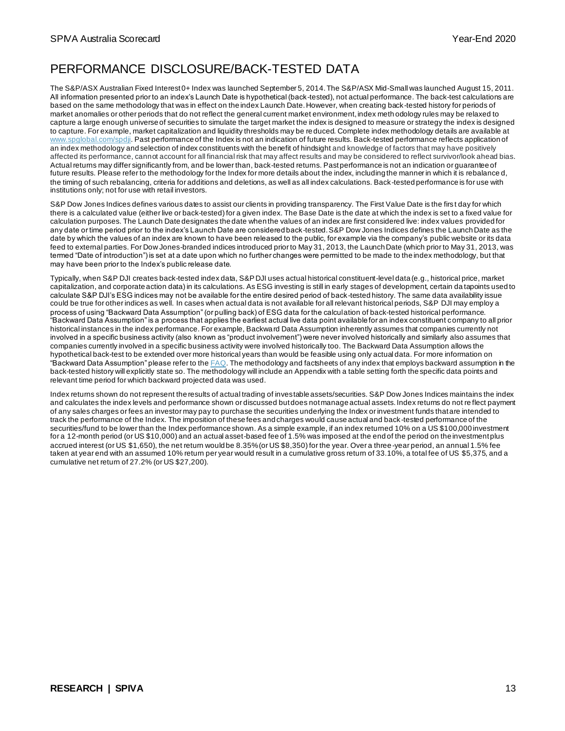## PERFORMANCE DISCLOSURE/BACK-TESTED DATA

The S&P/ASX Australian Fixed Interest 0+ Index was launched September 5, 2014.The S&P/ASX Mid-Small was launched August 15, 2011. All information presented prior to an index's Launch Date is hypothetical (back-tested), not actual performance. The back-test calculations are based on the same methodology that was in effect on the index Launch Date. However, when creating back-tested history for periods of market anomalies or other periods that do not reflect the general current market environment, index meth odology rules may be relaxed to capture a large enough universe of securities to simulate the target market the index is designed to measure or strategy the index is designed to capture. For example, market capitalization and liquidity thresholds may be reduced. Complete index methodology details are available at [www.spglobal.com/spdji.](http://www.spglobal.com/spdji) Past performance of the Index is not an indication of future results. Back-tested performance reflects application of an index methodology and selection of index constituents with the benefit of hindsight and knowledge of factors that may have positively affected its performance, cannot account for all financial risk that may affect results and may be considered to reflect survivor/look ahead bias. Actual returns may differ significantly from, and be lower than, back-tested returns. Past performance is not an indication or guarantee of future results. Please refer to the methodology for the Index for more details about the index, including the manner in which it is rebalance d, the timing of such rebalancing, criteria for additions and deletions, as well as all index calculations. Back-tested performance is for use with institutions only; not for use with retail investors.

S&P Dow Jones Indices defines various dates to assist our clients in providing transparency. The First Value Date is the first day for which there is a calculated value (either live or back-tested) for a given index. The Base Date is the date at which the index is set to a fixed value for calculation purposes. The Launch Date designates the date when the values of an index are first considered live: index values provided for any date or time period prior to the index's Launch Date are considered back-tested. S&P Dow Jones Indices defines the Launch Date as the date by which the values of an index are known to have been released to the public, for example via the company's public website or its data feed to external parties. For Dow Jones-branded indices introduced prior to May 31, 2013, the Launch Date (which prior to May 31, 2013, was termed "Date of introduction") is set at a date upon which no further changes were permitted to be made to the index methodology, but that may have been prior to the Index's public release date.

Typically, when S&P DJI creates back-tested index data, S&P DJI uses actual historical constituent-level data (e.g., historical price, market capitalization, and corporate action data) in its calculations. As ESG investing is still in early stages of development, certain da tapoints used to calculate S&P DJI's ESG indices may not be available for the entire desired period of back-tested history. The same data availability issue could be true for other indices as well. In cases when actual data is not available for all relevant historical periods, S&P DJI may employ a process of using "Backward Data Assumption" (or pulling back) of ESG data for the calculation of back-tested historical performance. "Backward Data Assumption" is a process that applies the earliest actual live data point available for an index constituent company to all prior historical instances in the index performance. For example, Backward Data Assumption inherently assumes that companies currently not involved in a specific business activity (also known as "product involvement") were never involved historically and similarly also assumes that companies currently involved in a specific business activity were involved historically too. The Backward Data Assumption allows the hypothetical back-test to be extended over more historical years than would be feasible using only actual data. For more information on "Backward Data Assumption" please refer to the  $\overline{\text{FAQ}}$ . The methodology and factsheets of any index that employs backward assumption in the back-tested history will explicitly state so. The methodology will include an Appendix with a table setting forth the specific data points and relevant time period for which backward projected data was used.

Index returns shown do not represent the results of actual trading of investable assets/securities. S&P Dow Jones Indices maintains the index and calculates the index levels and performance shown or discussed but does not manage actual assets. Index returns do not re flect payment of any sales charges or fees an investor may pay to purchase the securities underlying the Index or investment funds that are intended to track the performance of the Index. The imposition of these fees and charges would cause actual and back-tested performance of the securities/fund to be lower than the Index performance shown. As a simple example, if an index returned 10% on a US \$100,000 investment for a 12-month period (or US \$10,000) and an actual asset-based fee of 1.5% was imposed at the end of the period on the investment plus accrued interest (or US \$1,650), the net return would be 8.35% (or US \$8,350) for the year. Over a three -year period, an annual 1.5% fee taken at year end with an assumed 10% return per year would result in a cumulative gross return of 33.10%, a total fee of US \$5,375, and a cumulative net return of 27.2% (or US \$27,200).